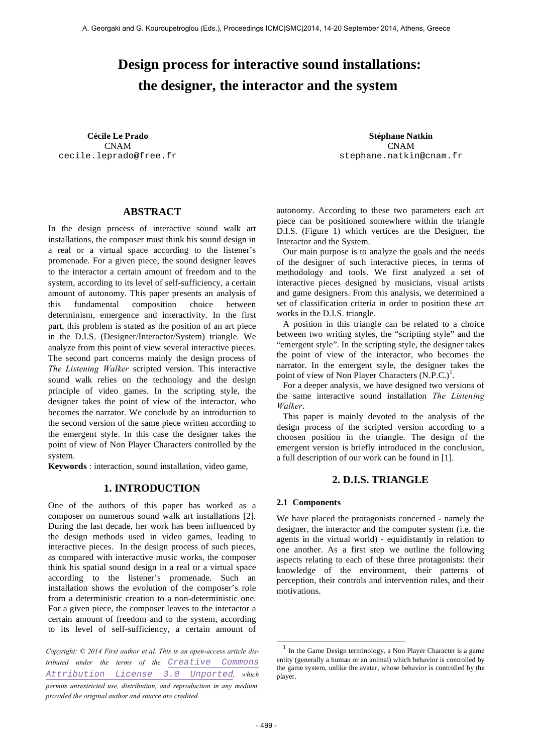# **Design process for interactive sound installations: the designer, the interactor and the system**

CNAM cecile.leprado@free.fr

**Cécile Le Prado Stéphane Natkin** CNAM stephane.natkin@cnam.fr

# **ABSTRACT**

In the design process of interactive sound walk art installations, the composer must think his sound design in a real or a virtual space according to the listener's promenade. For a given piece, the sound designer leaves to the interactor a certain amount of freedom and to the system, according to its level of self-sufficiency, a certain amount of autonomy. This paper presents an analysis of this fundamental composition choice between determinism, emergence and interactivity. In the first part, this problem is stated as the position of an art piece in the D.I.S. (Designer/Interactor/System) triangle. We analyze from this point of view several interactive pieces. The second part concerns mainly the design process of *The Listening Walker* scripted version. This interactive sound walk relies on the technology and the design principle of video games. In the scripting style, the designer takes the point of view of the interactor, who becomes the narrator. We conclude by an introduction to the second version of the same piece written according to the emergent style. In this case the designer takes the point of view of Non Player Characters controlled by the system.

**Keywords** : interaction, sound installation, video game,

# **1. INTRODUCTION**

One of the authors of this paper has worked as a composer on numerous sound walk art installations [2]. During the last decade, her work has been influenced by the design methods used in video games, leading to interactive pieces. In the design process of such pieces, as compared with interactive music works, the composer think his spatial sound design in a real or a virtual space according to the listener's promenade. Such an installation shows the evolution of the composer's role from a deterministic creation to a non-deterministic one. For a given piece, the composer leaves to the interactor a certain amount of freedom and to the system, according to its level of self-sufficiency, a certain amount of

*Copyright: © 2014 First author et al. This is an open-access article distributed under the terms of the Creative Commons Attribution License 3.0 Unported, which permits unrestricted use, distribution, and reproduction in any medium, provided the original author and source are credited.*

autonomy. According to these two parameters each art piece can be positioned somewhere within the triangle D.I.S. (Figure 1) which vertices are the Designer, the Interactor and the System.

Our main purpose is to analyze the goals and the needs of the designer of such interactive pieces, in terms of methodology and tools. We first analyzed a set of interactive pieces designed by musicians, visual artists and game designers. From this analysis, we determined a set of classification criteria in order to position these art works in the D.I.S. triangle.

A position in this triangle can be related to a choice between two writing styles, the "scripting style" and the "emergent style". In the scripting style, the designer takes the point of view of the interactor, who becomes the narrator. In the emergent style, the designer takes the point of view of Non Player Characters  $(N.P.C.)<sup>1</sup>$ .

For a deeper analysis, we have designed two versions of the same interactive sound installation *The Listening Walker*.

This paper is mainly devoted to the analysis of the design process of the scripted version according to a choosen position in the triangle. The design of the emergent version is briefly introduced in the conclusion, a full description of our work can be found in [1].

#### **2. D.I.S. TRIANGLE**

#### **2.1 Components**

We have placed the protagonists concerned - namely the designer, the interactor and the computer system (i.e. the agents in the virtual world) - equidistantly in relation to one another. As a first step we outline the following aspects relating to each of these three protagonists: their knowledge of the environment, their patterns of perception, their controls and intervention rules, and their motivations.

 $1$  In the Game Design terminology, a Non Player Character is a game entity (generally a human or an animal) which behavior is controlled by the game system, unlike the avatar, whose behavior is controlled by the player.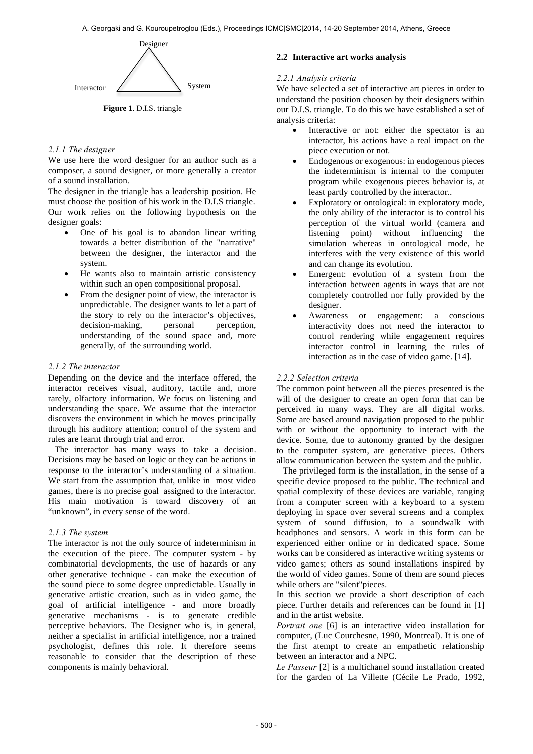

**Interactor** iangle **Figure 1**. D.I.S. triangle

#### *2.1.1 The designer*

We use here the word designer for an author such as a composer, a sound designer, or more generally a creator of a sound installation.

The designer in the triangle has a leadership position. He must choose the position of his work in the D.I.S triangle. Our work relies on the following hypothesis on the designer goals:

- One of his goal is to abandon linear writing towards a better distribution of the "narrative" between the designer, the interactor and the system.
- He wants also to maintain artistic consistency within such an open compositional proposal.
- From the designer point of view, the interactor is unpredictable. The designer wants to let a part of the story to rely on the interactor's objectives, decision-making, personal perception, understanding of the sound space and, more generally, of the surrounding world.

#### *2.1.2 The interactor*

Depending on the device and the interface offered, the interactor receives visual, auditory, tactile and, more rarely, olfactory information. We focus on listening and understanding the space. We assume that the interactor discovers the environment in which he moves principally through his auditory attention; control of the system and rules are learnt through trial and error.

The interactor has many ways to take a decision. Decisions may be based on logic or they can be actions in response to the interactor's understanding of a situation. We start from the assumption that, unlike in most video games, there is no precise goal assigned to the interactor. His main motivation is toward discovery of an "unknown", in every sense of the word.

## *2.1.3 The system*

The interactor is not the only source of indeterminism in the execution of the piece. The computer system - by combinatorial developments, the use of hazards or any other generative technique - can make the execution of the sound piece to some degree unpredictable. Usually in generative artistic creation, such as in video game, the goal of artificial intelligence - and more broadly generative mechanisms - is to generate credible perceptive behaviors. The Designer who is, in general, neither a specialist in artificial intelligence, nor a trained psychologist, defines this role. It therefore seems reasonable to consider that the description of these components is mainly behavioral.

#### **2.2 Interactive art works analysis**

#### *2.2.1 Analysis criteria*

We have selected a set of interactive art pieces in order to understand the position choosen by their designers within our D.I.S. triangle. To do this we have established a set of analysis criteria:

- Interactive or not: either the spectator is an interactor, his actions have a real impact on the piece execution or not.
- Endogenous or exogenous: in endogenous pieces the indeterminism is internal to the computer program while exogenous pieces behavior is, at least partly controlled by the interactor..
- Exploratory or ontological: in exploratory mode, the only ability of the interactor is to control his perception of the virtual world (camera and listening point) without influencing the simulation whereas in ontological mode, he interferes with the very existence of this world and can change its evolution.
- Emergent: evolution of a system from the interaction between agents in ways that are not completely controlled nor fully provided by the designer.
- Awareness or engagement: a conscious interactivity does not need the interactor to control rendering while engagement requires interactor control in learning the rules of interaction as in the case of video game. [14].

#### *2.2.2 Selection criteria*

The common point between all the pieces presented is the will of the designer to create an open form that can be perceived in many ways. They are all digital works. Some are based around navigation proposed to the public with or without the opportunity to interact with the device. Some, due to autonomy granted by the designer to the computer system, are generative pieces. Others allow communication between the system and the public.

The privileged form is the installation, in the sense of a specific device proposed to the public. The technical and spatial complexity of these devices are variable, ranging from a computer screen with a keyboard to a system deploying in space over several screens and a complex system of sound diffusion, to a soundwalk with headphones and sensors. A work in this form can be experienced either online or in dedicated space. Some works can be considered as interactive writing systems or video games; others as sound installations inspired by the world of video games. Some of them are sound pieces while others are "silent"pieces.

In this section we provide a short description of each piece. Further details and references can be found in [1] and in the artist website.

*Portrait one* [6] is an interactive video installation for computer, (Luc Courchesne, 1990, Montreal). It is one of the first atempt to create an empathetic relationship between an interactor and a NPC.

*Le Passeur* [2] is a multichanel sound installation created for the garden of La Villette (Cécile Le Prado, 1992,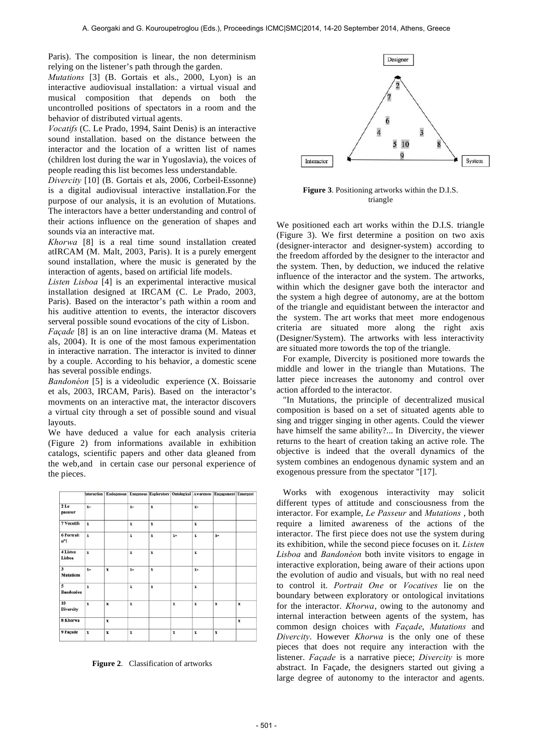Paris). The composition is linear, the non determinism relying on the listener's path through the garden.

*Mutations* [3] (B. Gortais et als., 2000, Lyon) is an interactive audiovisual installation: a virtual visual and musical composition that depends on both the uncontrolled positions of spectators in a room and the behavior of distributed virtual agents.

*Vocatifs* (C. Le Prado, 1994, Saint Denis) is an interactive sound installation. based on the distance between the interactor and the location of a written list of names (children lost during the war in Yugoslavia), the voices of people reading this list becomes less understandable.

*Divercity* [10] (B. Gortais et als, 2006, Corbeil-Essonne) is a digital audiovisual interactive installation.For the purpose of our analysis, it is an evolution of Mutations. The interactors have a better understanding and control of their actions influence on the generation of shapes and sounds via an interactive mat.

*Khorwa* [8] is a real time sound installation created atIRCAM (M. Malt, 2003, Paris). It is a purely emergent sound installation, where the music is generated by the interaction of agents, based on artificial life models.

*Listen Lisboa* [4] is an experimental interactive musical installation designed at IRCAM (C. Le Prado, 2003, Paris). Based on the interactor's path within a room and his auditive attention to events, the interactor discovers serveral possible sound evocations of the city of Lisbon.

*Façade* [8] is an on line interactive drama (M. Mateas et als, 2004). It is one of the most famous experimentation in interactive narration. The interactor is invited to dinner by a couple. According to his behavior, a domestic scene has several possible endings.

*Bandonéon* [5] is a videoludic experience (X. Boissarie et als, 2003, IRCAM, Paris). Based on the interactor's movments on an interactive mat, the interactor discovers a virtual city through a set of possible sound and visual layouts.

We have deduced a value for each analysis criteria (Figure 2) from informations available in exhibition catalogs, scientific papers and other data gleaned from the web,and in certain case our personal experience of the pieces.



**Figure 2**. Classification of artworks



**Figure 3**. Positioning artworks within the D.I.S. triangle

We positioned each art works within the D.I.S. triangle (Figure 3). We first determine a position on two axis (designer-interactor and designer-system) according to the freedom afforded by the designer to the interactor and the system. Then, by deduction, we induced the relative influence of the interactor and the system. The artworks, within which the designer gave both the interactor and the system a high degree of autonomy, are at the bottom of the triangle and equidistant between the interactor and the system. The art works that meet more endogenous criteria are situated more along the right axis (Designer/System). The artworks with less interactivity are situated more towords the top of the triangle.

For example, Divercity is positioned more towards the middle and lower in the triangle than Mutations. The latter piece increases the autonomy and control over action afforded to the interactor.

"In Mutations, the principle of decentralized musical composition is based on a set of situated agents able to sing and trigger singing in other agents. Could the viewer have himself the same ability?... In Divercity, the viewer returns to the heart of creation taking an active role. The objective is indeed that the overall dynamics of the system combines an endogenous dynamic system and an exogenous pressure from the spectator "[17].

Works with exogenous interactivity may solicit different types of attitude and consciousness from the interactor. For example, *Le Passeur* and *Mutations* , both require a limited awareness of the actions of the interactor. The first piece does not use the system during its exhibition, while the second piece focuses on it. *Listen Lisboa* and *Bandonéon* both invite visitors to engage in interactive exploration, being aware of their actions upon the evolution of audio and visuals, but with no real need to control it. *Portrait One* or *Vocatives* lie on the boundary between exploratory or ontological invitations for the interactor. *Khorwa*, owing to the autonomy and internal interaction between agents of the system, has common design choices with *Façade*, *Mutations* and *Divercity*. However *Khorwa* is the only one of these pieces that does not require any interaction with the listener. *Façade* is a narrative piece; *Divercity* is more abstract. In Façade, the designers started out giving a large degree of autonomy to the interactor and agents.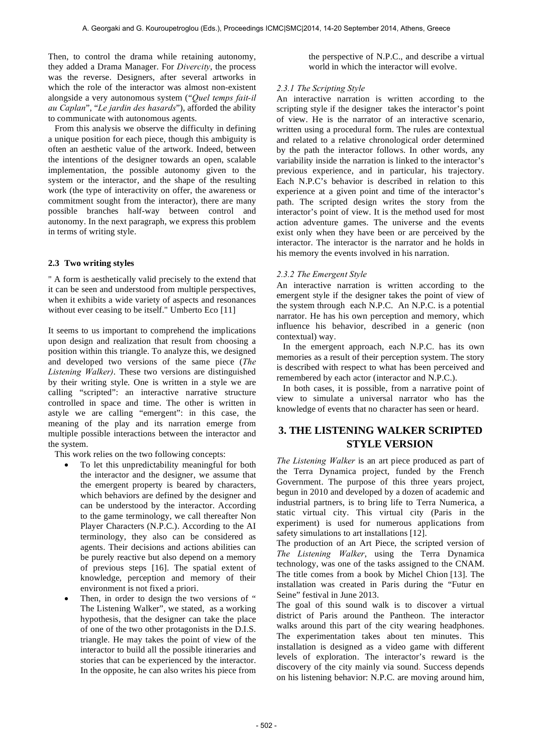Then, to control the drama while retaining autonomy, they added a Drama Manager. For *Divercity*, the process was the reverse. Designers, after several artworks in which the role of the interactor was almost non-existent alongside a very autonomous system ("*Quel temps fait-il au Caplan*", "*Le jardin des hasards*"), afforded the ability to communicate with autonomous agents.

From this analysis we observe the difficulty in defining a unique position for each piece, though this ambiguity is often an aesthetic value of the artwork. Indeed, between the intentions of the designer towards an open, scalable implementation, the possible autonomy given to the system or the interactor, and the shape of the resulting work (the type of interactivity on offer, the awareness or commitment sought from the interactor), there are many possible branches half-way between control and autonomy. In the next paragraph, we express this problem in terms of writing style.

#### **2.3 Two writing styles**

" A form is aesthetically valid precisely to the extend that it can be seen and understood from multiple perspectives, when it exhibits a wide variety of aspects and resonances without ever ceasing to be itself." Umberto Eco [11]

It seems to us important to comprehend the implications upon design and realization that result from choosing a position within this triangle. To analyze this, we designed and developed two versions of the same piece (*The Listening Walker)*. These two versions are distinguished by their writing style. One is written in a style we are calling "scripted": an interactive narrative structure controlled in space and time. The other is written in astyle we are calling "emergent": in this case, the meaning of the play and its narration emerge from multiple possible interactions between the interactor and the system.

This work relies on the two following concepts:

- To let this unpredictability meaningful for both the interactor and the designer, we assume that the emergent property is beared by characters, which behaviors are defined by the designer and can be understood by the interactor. According to the game terminology, we call thereafter Non Player Characters (N.P.C.). According to the AI terminology, they also can be considered as agents. Their decisions and actions abilities can be purely reactive but also depend on a memory of previous steps [16]. The spatial extent of knowledge, perception and memory of their environment is not fixed a priori.
- Then, in order to design the two versions of " The Listening Walker", we stated, as a working hypothesis, that the designer can take the place of one of the two other protagonists in the D.I.S. triangle. He may takes the point of view of the interactor to build all the possible itineraries and stories that can be experienced by the interactor. In the opposite, he can also writes his piece from

the perspective of N.P.C., and describe a virtual world in which the interactor will evolve.

#### *2.3.1 The Scripting Style*

An interactive narration is written according to the scripting style if the designer takes the interactor's point of view. He is the narrator of an interactive scenario, written using a procedural form. The rules are contextual and related to a relative chronological order determined by the path the interactor follows. In other words, any variability inside the narration is linked to the interactor's previous experience, and in particular, his trajectory. Each N.P.C's behavior is described in relation to this experience at a given point and time of the interactor's path. The scripted design writes the story from the interactor's point of view. It is the method used for most action adventure games. The universe and the events exist only when they have been or are perceived by the interactor. The interactor is the narrator and he holds in his memory the events involved in his narration.

#### *2.3.2 The Emergent Style*

An interactive narration is written according to the emergent style if the designer takes the point of view of the system through each N.P.C. An N.P.C. is a potential narrator. He has his own perception and memory, which influence his behavior, described in a generic (non contextual) way.

In the emergent approach, each N.P.C. has its own memories as a result of their perception system. The story is described with respect to what has been perceived and remembered by each actor (interactor and N.P.C.).

In both cases, it is possible, from a narrative point of view to simulate a universal narrator who has the knowledge of events that no character has seen or heard.

# **3. THE LISTENING WALKER SCRIPTED STYLE VERSION**

*The Listening Walker* is an art piece produced as part of the Terra Dynamica project, funded by the French Government. The purpose of this three years project, begun in 2010 and developed by a dozen of academic and industrial partners, is to bring life to Terra Numerica, a static virtual city. This virtual city (Paris in the experiment) is used for numerous applications from safety simulations to art installations [12].

The production of an Art Piece, the scripted version of *The Listening Walker*, using the Terra Dynamica technology, was one of the tasks assigned to the CNAM. The title comes from a book by Michel Chion [13]. The installation was created in Paris during the "Futur en Seine" festival in June 2013.

The goal of this sound walk is to discover a virtual district of Paris around the Pantheon. The interactor walks around this part of the city wearing headphones. The experimentation takes about ten minutes. This installation is designed as a video game with different levels of exploration. The interactor's reward is the discovery of the city mainly via sound. Success depends on his listening behavior: N.P.C. are moving around him,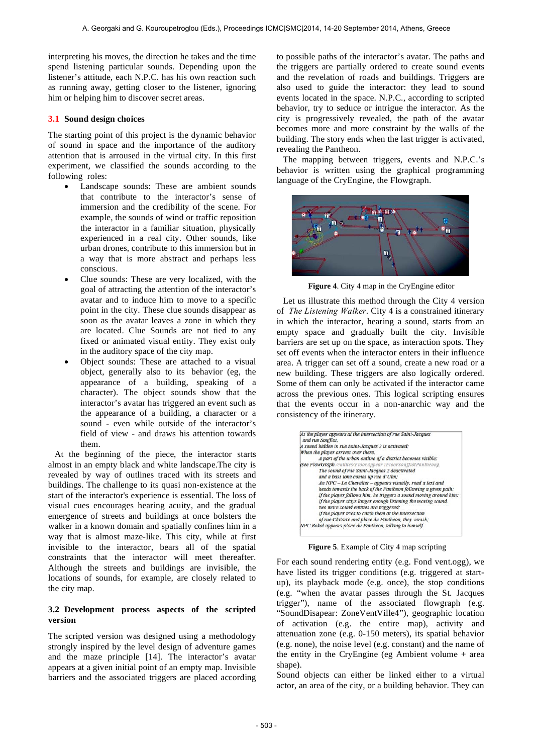interpreting his moves, the direction he takes and the time spend listening particular sounds. Depending upon the listener's attitude, each N.P.C. has his own reaction such as running away, getting closer to the listener, ignoring him or helping him to discover secret areas.

#### **3.1 Sound design choices**

The starting point of this project is the dynamic behavior of sound in space and the importance of the auditory attention that is arroused in the virtual city. In this first experiment, we classified the sounds according to the following roles:

- Landscape sounds: These are ambient sounds that contribute to the interactor's sense of immersion and the credibility of the scene. For example, the sounds of wind or traffic reposition the interactor in a familiar situation, physically experienced in a real city. Other sounds, like urban drones, contribute to this immersion but in a way that is more abstract and perhaps less conscious.
- Clue sounds: These are very localized, with the goal of attracting the attention of the interactor's avatar and to induce him to move to a specific point in the city. These clue sounds disappear as soon as the avatar leaves a zone in which they are located. Clue Sounds are not tied to any fixed or animated visual entity. They exist only in the auditory space of the city map.
- Object sounds: These are attached to a visual object, generally also to its behavior (eg, the appearance of a building, speaking of a character). The object sounds show that the interactor's avatar has triggered an event such as the appearance of a building, a character or a sound - even while outside of the interactor's field of view - and draws his attention towards them.

At the beginning of the piece, the interactor starts almost in an empty black and white landscape.The city is revealed by way of outlines traced with its streets and buildings. The challenge to its quasi non-existence at the start of the interactor's experience is essential. The loss of visual cues encourages hearing acuity, and the gradual emergence of streets and buildings at once bolsters the walker in a known domain and spatially confines him in a way that is almost maze-like. This city, while at first invisible to the interactor, bears all of the spatial constraints that the interactor will meet thereafter. Although the streets and buildings are invisible, the locations of sounds, for example, are closely related to the city map.

## **3.2 Development process aspects of the scripted version**

The scripted version was designed using a methodology strongly inspired by the level design of adventure games and the maze principle [14]. The interactor's avatar appears at a given initial point of an empty map. Invisible barriers and the associated triggers are placed according to possible paths of the interactor's avatar. The paths and the triggers are partially ordered to create sound events and the revelation of roads and buildings. Triggers are also used to guide the interactor: they lead to sound events located in the space. N.P.C., according to scripted behavior, try to seduce or intrigue the interactor. As the city is progressively revealed, the path of the avatar becomes more and more constraint by the walls of the building. The story ends when the last trigger is activated, revealing the Pantheon.

The mapping between triggers, events and N.P.C.'s behavior is written using the graphical programming language of the CryEngine, the Flowgraph.



**Figure 4**. City 4 map in the CryEngine editor

Let us illustrate this method through the City 4 version of *The Listening Walker*. City 4 is a constrained itinerary in which the interactor, hearing a sound, starts from an empty space and gradually built the city. Invisible barriers are set up on the space, as interaction spots. They set off events when the interactor enters in their influence area. A trigger can set off a sound, create a new road or a new building. These triggers are also logically ordered. Some of them can only be activated if the interactor came across the previous ones. This logical scripting ensures that the events occur in a non-anarchic way and the consistency of the itinerary.

| As the player appears at the intersection of rue Saint-Jacques<br>and rue Soufflot, |
|-------------------------------------------------------------------------------------|
| A sound hidden in rue Saint-Jacques 2 is activated;                                 |
| When the player arrives over there,                                                 |
| A part of the urban outline of a district becomes visible;                          |
| (see FlowGraph /entities/Floor.Appear : Floor.SoufflotPantheon).                    |
| The sound of rue Saint-Jacques 2 deactivated                                        |
| and a bass tone comes up rue d'Ulm;                                                 |
| An NPC - Le Chevalier - appears visually, read a text and                           |
| heads towards the back of the Pantheon following a given path;                      |
| If the player follows him, he triggers a sound moving around him;                   |
| If the player stays longer enough listening the moving sound,                       |
| two more sound entities are triggered;                                              |
| If the player tries to catch them at the intersection                               |
| of rue Clotaire and place du Pantheon, they vanish;                                 |
| NPC Bakal appears place du Pantheon, talking to himself.                            |

**Figure 5**. Example of City 4 map scripting

For each sound rendering entity (e.g. Fond vent.ogg), we have listed its trigger conditions (e.g. triggered at startup), its playback mode (e.g. once), the stop conditions (e.g. "when the avatar passes through the St. Jacques trigger"), name of the associated flowgraph (e.g. "SoundDisapear: ZoneVentVille4"), geographic location of activation (e.g. the entire map), activity and attenuation zone (e.g. 0-150 meters), its spatial behavior (e.g. none), the noise level (e.g. constant) and the name of the entity in the CryEngine (eg Ambient volume + area shape).

Sound objects can either be linked either to a virtual actor, an area of the city, or a building behavior. They can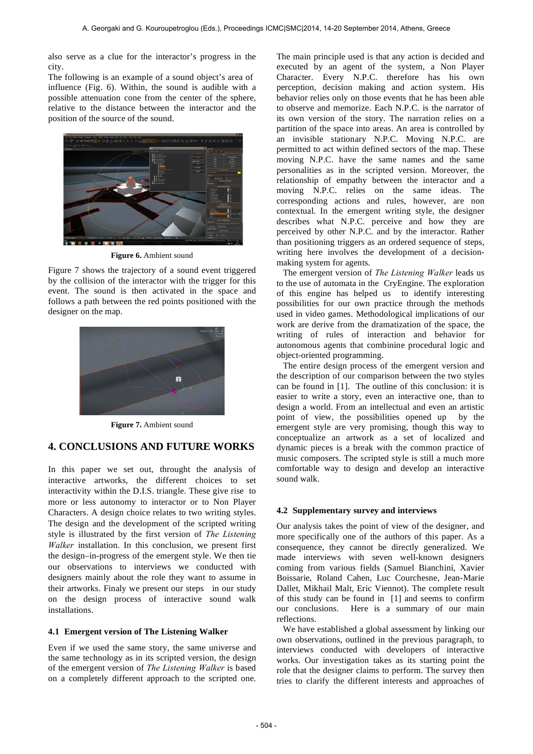also serve as a clue for the interactor's progress in the city.

The following is an example of a sound object's area of influence (Fig. 6). Within, the sound is audible with a possible attenuation cone from the center of the sphere, relative to the distance between the interactor and the position of the source of the sound.



**Figure 6.** Ambient sound

Figure 7 shows the trajectory of a sound event triggered by the collision of the interactor with the trigger for this event. The sound is then activated in the space and follows a path between the red points positioned with the designer on the map.



**Figure 7.** Ambient sound

# **4. CONCLUSIONS AND FUTURE WORKS**

In this paper we set out, throught the analysis of interactive artworks, the different choices to set interactivity within the D.I.S. triangle. These give rise to more or less autonomy to interactor or to Non Player Characters. A design choice relates to two writing styles. The design and the development of the scripted writing style is illustrated by the first version of *The Listening Walker* installation. In this conclusion, we present first the design–in-progress of the emergent style. We then tie our observations to interviews we conducted with designers mainly about the role they want to assume in their artworks. Finaly we present our steps in our study on the design process of interactive sound walk installations.

## **4.1 Emergent version of The Listening Walker**

Even if we used the same story, the same universe and the same technology as in its scripted version, the design of the emergent version of *The Listening Walker* is based on a completely different approach to the scripted one.

The main principle used is that any action is decided and executed by an agent of the system, a Non Player Character. Every N.P.C. therefore has his own perception, decision making and action system. His behavior relies only on those events that he has been able to observe and memorize. Each N.P.C. is the narrator of its own version of the story. The narration relies on a partition of the space into areas. An area is controlled by an invisible stationary N.P.C. Moving N.P.C. are permitted to act within defined sectors of the map. These moving N.P.C. have the same names and the same personalities as in the scripted version. Moreover, the relationship of empathy between the interactor and a moving N.P.C. relies on the same ideas. The corresponding actions and rules, however, are non contextual. In the emergent writing style, the designer describes what N.P.C. perceive and how they are perceived by other N.P.C. and by the interactor. Rather than positioning triggers as an ordered sequence of steps, writing here involves the development of a decisionmaking system for agents.

The emergent version of *The Listening Walker* leads us to the use of automata in the CryEngine. The exploration of this engine has helped us to identify interesting possibilities for our own practice through the methods used in video games. Methodological implications of our work are derive from the dramatization of the space, the writing of rules of interaction and behavior for autonomous agents that combinine procedural logic and object-oriented programming.

The entire design process of the emergent version and the description of our comparison between the two styles can be found in [1]. The outline of this conclusion: it is easier to write a story, even an interactive one, than to design a world. From an intellectual and even an artistic point of view, the possibilities opened up by the emergent style are very promising, though this way to conceptualize an artwork as a set of localized and dynamic pieces is a break with the common practice of music composers. The scripted style is still a much more comfortable way to design and develop an interactive sound walk.

## **4.2 Supplementary survey and interviews**

Our analysis takes the point of view of the designer, and more specifically one of the authors of this paper. As a consequence, they cannot be directly generalized. We made interviews with seven well-known designers coming from various fields (Samuel Bianchini, Xavier Boissarie, Roland Cahen, Luc Courchesne, Jean-Marie Dallet, Mikhail Malt, Eric Viennot). The complete result of this study can be found in [1] and seems to confirm our conclusions. Here is a summary of our main reflections.

We have established a global assessment by linking our own observations, outlined in the previous paragraph, to interviews conducted with developers of interactive works. Our investigation takes as its starting point the role that the designer claims to perform. The survey then tries to clarify the different interests and approaches of